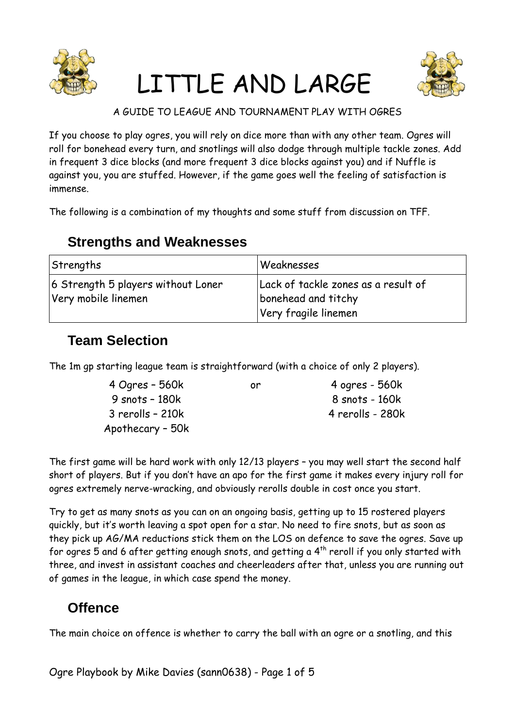

# LITTLE AND LARGE



#### A GUIDE TO LEAGUE AND TOURNAMENT PLAY WITH OGRES

If you choose to play ogres, you will rely on dice more than with any other team. Ogres will roll for bonehead every turn, and snotlings will also dodge through multiple tackle zones. Add in frequent 3 dice blocks (and more frequent 3 dice blocks against you) and if Nuffle is against you, you are stuffed. However, if the game goes well the feeling of satisfaction is immense.

The following is a combination of my thoughts and some stuff from discussion on TFF.

# **Strengths and Weaknesses**

| Strengths                          | Weaknesses                          |  |
|------------------------------------|-------------------------------------|--|
| 6 Strength 5 players without Loner | Lack of tackle zones as a result of |  |
| Very mobile linemen                | bonehead and titchy                 |  |
|                                    | Very fragile linemen                |  |

# **Team Selection**

The 1m gp starting league team is straightforward (with a choice of only 2 players).

| 4 Ogres - 560k   | or. | 4 ogres - 560k   |
|------------------|-----|------------------|
| 9 snots - 180k   |     | 8 snots - 160k   |
| 3 rerolls - 210k |     | 4 rerolls - 280k |
| Apothecary - 50k |     |                  |

The first game will be hard work with only 12/13 players – you may well start the second half short of players. But if you don't have an apo for the first game it makes every injury roll for ogres extremely nerve-wracking, and obviously rerolls double in cost once you start.

Try to get as many snots as you can on an ongoing basis, getting up to 15 rostered players quickly, but it's worth leaving a spot open for a star. No need to fire snots, but as soon as they pick up AG/MA reductions stick them on the LOS on defence to save the ogres. Save up for ogres 5 and 6 after getting enough snots, and getting a  $4<sup>th</sup>$  reroll if you only started with three, and invest in assistant coaches and cheerleaders after that, unless you are running out of games in the league, in which case spend the money.

# **Offence**

The main choice on offence is whether to carry the ball with an ogre or a snotling, and this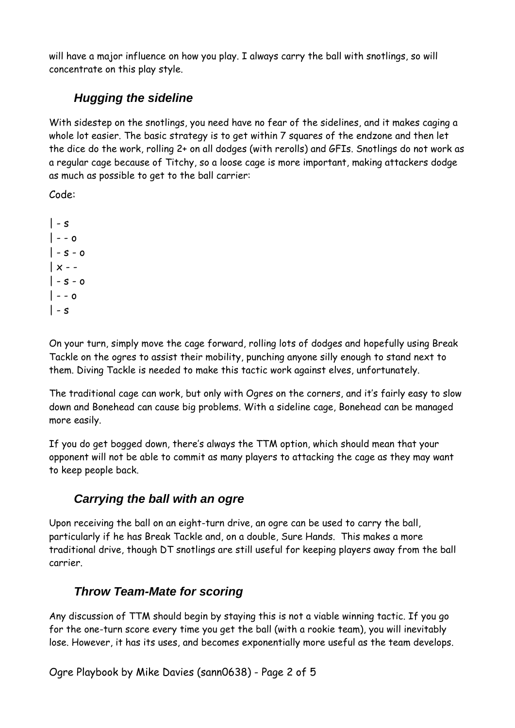will have a major influence on how you play. I always carry the ball with snotlings, so will concentrate on this play style.

## *Hugging the sideline*

With sidestep on the snotlings, you need have no fear of the sidelines, and it makes caging a whole lot easier. The basic strategy is to get within 7 squares of the endzone and then let the dice do the work, rolling 2+ on all dodges (with rerolls) and GFIs. Snotlings do not work as a regular cage because of Titchy, so a loose cage is more important, making attackers dodge as much as possible to get to the ball carrier:

Code:

 $\vert$  - s  $\vert - - \circ$  $|-s - o$  $\vert x - s - 0$  $\vert - - \vert$  $\vert$  - s

On your turn, simply move the cage forward, rolling lots of dodges and hopefully using Break Tackle on the ogres to assist their mobility, punching anyone silly enough to stand next to them. Diving Tackle is needed to make this tactic work against elves, unfortunately.

The traditional cage can work, but only with Ogres on the corners, and it's fairly easy to slow down and Bonehead can cause big problems. With a sideline cage, Bonehead can be managed more easily.

If you do get bogged down, there's always the TTM option, which should mean that your opponent will not be able to commit as many players to attacking the cage as they may want to keep people back.

### *Carrying the ball with an ogre*

Upon receiving the ball on an eight-turn drive, an ogre can be used to carry the ball, particularly if he has Break Tackle and, on a double, Sure Hands. This makes a more traditional drive, though DT snotlings are still useful for keeping players away from the ball carrier.

### *Throw Team-Mate for scoring*

Any discussion of TTM should begin by staying this is not a viable winning tactic. If you go for the one-turn score every time you get the ball (with a rookie team), you will inevitably lose. However, it has its uses, and becomes exponentially more useful as the team develops.

Ogre Playbook by Mike Davies (sann0638) - Page 2 of 5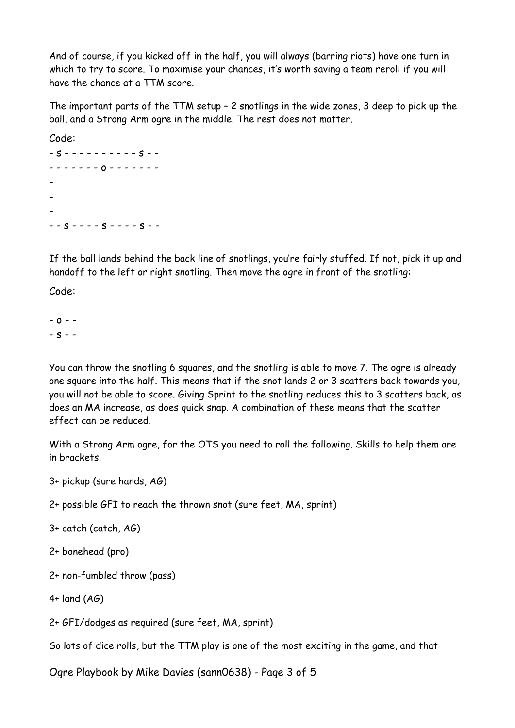And of course, if you kicked off in the half, you will always (barring riots) have one turn in which to try to score. To maximise your chances, it's worth saving a team reroll if you will have the chance at a TTM score.

The important parts of the TTM setup – 2 snotlings in the wide zones, 3 deep to pick up the ball, and a Strong Arm ogre in the middle. The rest does not matter.

Code:

- s - - - - - - - - - - s - - - - - - - - - o - - - - - - - - - -  $-$  -  $s$  - - - -  $s$  - - - -  $s$  - -

If the ball lands behind the back line of snotlings, you're fairly stuffed. If not, pick it up and handoff to the left or right snotling. Then move the ogre in front of the snotling:

Code:

 $- 0 - -S - 5$ 

You can throw the snotling 6 squares, and the snotling is able to move 7. The ogre is already one square into the half. This means that if the snot lands 2 or 3 scatters back towards you, you will not be able to score. Giving Sprint to the snotling reduces this to 3 scatters back, as does an MA increase, as does quick snap. A combination of these means that the scatter effect can be reduced.

With a Strong Arm ogre, for the OTS you need to roll the following. Skills to help them are in brackets.

3+ pickup (sure hands, AG)

2+ possible GFI to reach the thrown snot (sure feet, MA, sprint)

3+ catch (catch, AG)

2+ bonehead (pro)

2+ non-fumbled throw (pass)

4+ land (AG)

2+ GFI/dodges as required (sure feet, MA, sprint)

So lots of dice rolls, but the TTM play is one of the most exciting in the game, and that

Ogre Playbook by Mike Davies (sann0638) - Page 3 of 5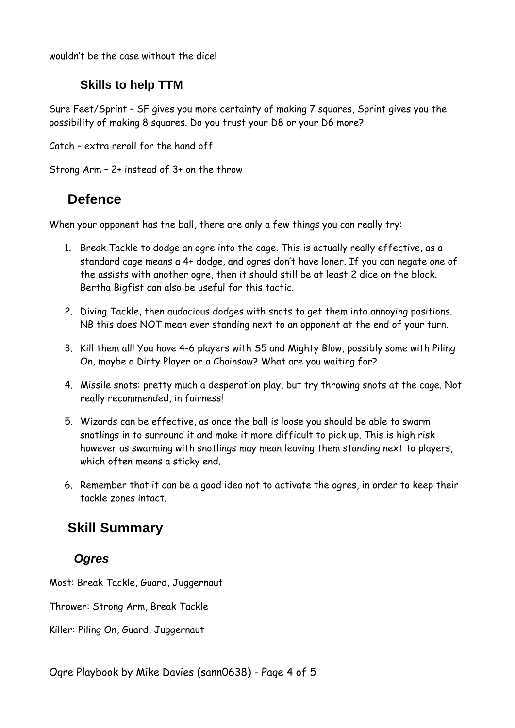wouldn't be the case without the dice!

#### **Skills to help TTM**

Sure Feet/Sprint – SF gives you more certainty of making 7 squares, Sprint gives you the possibility of making 8 squares. Do you trust your D8 or your D6 more?

Catch – extra reroll for the hand off

Strong Arm – 2+ instead of 3+ on the throw

## **Defence**

When your opponent has the ball, there are only a few things you can really try:

- 1. Break Tackle to dodge an ogre into the cage. This is actually really effective, as a standard cage means a 4+ dodge, and ogres don't have loner. If you can negate one of the assists with another ogre, then it should still be at least 2 dice on the block. Bertha Bigfist can also be useful for this tactic.
- 2. Diving Tackle, then audacious dodges with snots to get them into annoying positions. NB this does NOT mean ever standing next to an opponent at the end of your turn.
- 3. Kill them all! You have 4-6 players with S5 and Mighty Blow, possibly some with Piling On, maybe a Dirty Player or a Chainsaw? What are you waiting for?
- 4. Missile snots: pretty much a desperation play, but try throwing snots at the cage. Not really recommended, in fairness!
- 5. Wizards can be effective, as once the ball is loose you should be able to swarm snotlings in to surround it and make it more difficult to pick up. This is high risk however as swarming with snotlings may mean leaving them standing next to players, which often means a sticky end.
- 6. Remember that it can be a good idea not to activate the ogres, in order to keep their tackle zones intact.

# **Skill Summary**

### *Ogres*

Most: Break Tackle, Guard, Juggernaut

Thrower: Strong Arm, Break Tackle

Killer: Piling On, Guard, Juggernaut

Ogre Playbook by Mike Davies (sann0638) - Page 4 of 5